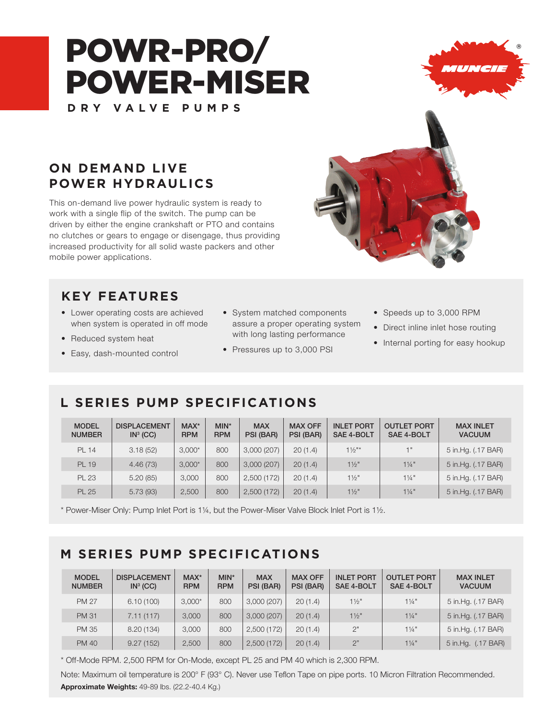# POWR-PRO/ POWER-MISER **DRY VALVE PUMPS**



# **ON DEMAND LIVE POWER HYDRAULICS**

This on-demand live power hydraulic system is ready to work with a single flip of the switch. The pump can be driven by either the engine crankshaft or PTO and contains no clutches or gears to engage or disengage, thus providing increased productivity for all solid waste packers and other mobile power applications.

### **KEY FEATURES**

- Lower operating costs are achieved when system is operated in off mode
- Reduced system heat
- Easy, dash-mounted control
- System matched components assure a proper operating system with long lasting performance
- Pressures up to 3,000 PSI
- Speeds up to 3,000 RPM
- Direct inline inlet hose routing
- Internal porting for easy hookup

# **L SERIES PUMP SPECIFICATIONS**

| <b>MODEL</b><br><b>NUMBER</b> | <b>DISPLACEMENT</b><br>IN <sup>3</sup> (CC) | $MAX^*$<br><b>RPM</b> | $MIN^*$<br><b>RPM</b> | <b>MAX</b><br>PSI (BAR) | <b>MAX OFF</b><br>PSI (BAR) | <b>INLET PORT</b><br><b>SAE 4-BOLT</b> | <b>OUTLET PORT</b><br><b>SAE 4-BOLT</b> | <b>MAX INLET</b><br><b>VACUUM</b> |
|-------------------------------|---------------------------------------------|-----------------------|-----------------------|-------------------------|-----------------------------|----------------------------------------|-----------------------------------------|-----------------------------------|
| <b>PL 14</b>                  | 3.18(52)                                    | $3,000*$              | 800                   | 3,000(207)              | 20(1.4)                     | $1\frac{1}{2}$ "*                      | 1"                                      | 5 in Hg. (.17 BAR)                |
| PL 19                         | 4.46(73)                                    | $3,000*$              | 800                   | 3,000(207)              | 20(1.4)                     | $1\frac{1}{2}$ "                       | $1\frac{1}{4}$ "                        | 5 in Hg. (.17 BAR)                |
| <b>PL 23</b>                  | 5.20(85)                                    | 3,000                 | 800                   | 2,500 (172)             | 20(1.4)                     | $1\frac{1}{2}$ "                       | $1\frac{1}{4}$ "                        | 5 in Hg. (.17 BAR)                |
| <b>PL 25</b>                  | 5.73(93)                                    | 2,500                 | 800                   | 2,500(172)              | 20(1.4)                     | $11/2$ "                               | $1\frac{1}{4}$ "                        | 5 in Hg. (.17 BAR)                |

\* Power-Miser Only: Pump Inlet Port is 1¼, but the Power-Miser Valve Block Inlet Port is 1½.

### **M SERIES PUMP SPECIFICATIONS**

| <b>MODEL</b><br><b>NUMBER</b> | <b>DISPLACEMENT</b><br>IN <sup>3</sup> (CC) | MAX*<br><b>RPM</b> | $MIN^*$<br><b>RPM</b> | <b>MAX</b><br>PSI (BAR) | <b>MAX OFF</b><br>PSI (BAR) | <b>INLET PORT</b><br>SAE 4-BOLT | <b>OUTLET PORT</b><br><b>SAE 4-BOLT</b> | <b>MAX INLET</b><br><b>VACUUM</b> |
|-------------------------------|---------------------------------------------|--------------------|-----------------------|-------------------------|-----------------------------|---------------------------------|-----------------------------------------|-----------------------------------|
| <b>PM 27</b>                  | 6.10(100)                                   | $3.000*$           | 800                   | 3,000(207)              | 20(1.4)                     | $1\frac{1}{2}$                  | $1\frac{1}{4}$ "                        | 5 in Hg. (.17 BAR)                |
| <b>PM 31</b>                  | 7.11(117)                                   | 3,000              | 800                   | 3,000(207)              | 20(1.4)                     | $1\frac{1}{2}$ "                | $1\frac{1}{4}$ "                        | 5 in.Hg. (.17 BAR)                |
| <b>PM 35</b>                  | 8.20 (134)                                  | 3,000              | 800                   | 2,500 (172)             | 20(1.4)                     | 2"                              | $1\frac{1}{4}$ "                        | 5 in Hg. (.17 BAR)                |
| <b>PM 40</b>                  | 9.27(152)                                   | 2,500              | 800                   | 2,500(172)              | 20(1.4)                     | 2"                              | $1\frac{1}{4}$ "                        | 5 in Hg. (.17 BAR)                |

\* Off-Mode RPM. 2,500 RPM for On-Mode, except PL 25 and PM 40 which is 2,300 RPM.

Note: Maximum oil temperature is 200° F (93° C). Never use Teflon Tape on pipe ports. 10 Micron Filtration Recommended. Approximate Weights: 49-89 lbs. (22.2-40.4 Kg.)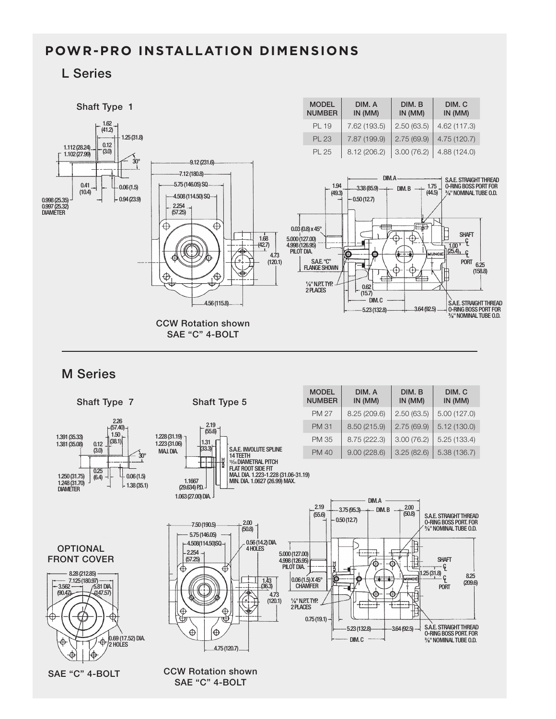### **POWR-PRO INSTALLATION DIMENSIONS**

#### L Series

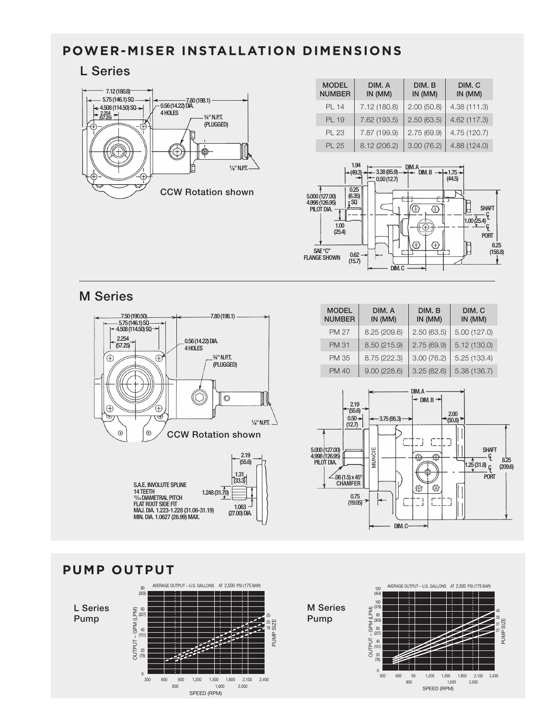### **POWER-MISER INSTALLATION DIMENSIONS**

#### L Series



| <b>MODEL</b><br><b>NUMBER</b> | DIM. A<br>IN (MM) | DIM. B<br>IN (MM) | DIM. C<br>$IN$ (MM) |
|-------------------------------|-------------------|-------------------|---------------------|
| PL 14                         | 7.12 (180.8)      | 2.00(50.8)        | 4.38(111.3)         |
| PL 19                         | 7.62 (193.5)      | 2.50(63.5)        | 4.62 (117.3)        |
| PL 23                         | 7.87 (199.9)      | 2.75(69.9)        | 4.75 (120.7)        |
| PL 25                         | 8.12 (206.2)      | 3.00(76.2)        | 4.88 (124.0)        |



#### M Series



| <b>MODEL</b><br><b>NUMBER</b> | DIM. A<br>IN (MM) | DIM. B<br>IN (MM) | DIM. C<br>IN (MM) |  |
|-------------------------------|-------------------|-------------------|-------------------|--|
| <b>PM 27</b>                  | 8.25 (209.6)      | 2.50(63.5)        | 5.00(127.0)       |  |
| <b>PM 31</b>                  | 8.50 (215.9)      | 2.75(69.9)        | 5.12(130.0)       |  |
| <b>PM 35</b>                  | 8.75 (222.3)      | 3.00(76.2)        | 5.25(133.4)       |  |
| <b>PM 40</b>                  | 9.00(228.6)       | 3.25(82.6)        | 5.38(136.7)       |  |







 $\overline{\mathsf{m}}$ 1<br>ע'

Pump